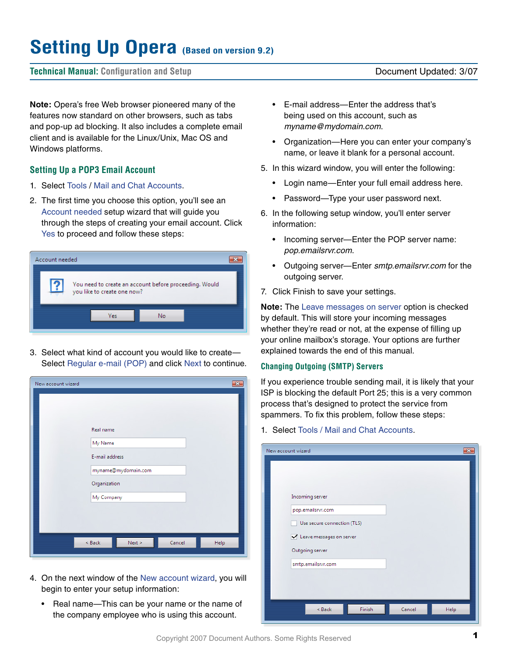# **Setting Up Opera (Based on version 9.2)**

## **Technical Manual: Configuration and Setup** Document Updated: 3/07

**Note:** Opera's free Web browser pioneered many of the features now standard on other browsers, such as tabs and pop-up ad blocking. It also includes a complete email client and is available for the Linux/Unix, Mac OS and Windows platforms.

# **Setting Up a POP3 Email Account**

- 1. Select Tools / Mail and Chat Accounts.
- 2. The first time you choose this option, you'll see an Account needed setup wizard that will guide you through the steps of creating your email account. Click Yes to proceed and follow these steps:



3. Select what kind of account you would like to create— Select Regular e-mail (POP) and click Next to continue.

| New account wizard |                     |        | $\overline{\mathbf{x}}$ |
|--------------------|---------------------|--------|-------------------------|
|                    |                     |        |                         |
|                    | Real name           |        |                         |
|                    | My Name             |        |                         |
|                    | E-mail address      |        |                         |
|                    | myname@mydomain.com |        |                         |
|                    | Organization        |        |                         |
|                    | My Company          |        |                         |
|                    |                     |        |                         |
|                    |                     |        |                         |
|                    | < Back<br>Next >    | Cancel | Help                    |
|                    |                     |        |                         |

- 4. On the next window of the New account wizard, you will begin to enter your setup information:
	- Real name—This can be your name or the name of the company employee who is using this account.
- E-mail address—Enter the address that's being used on this account, such as *myname@mydomain.com*.
- Organization—Here you can enter your company's name, or leave it blank for a personal account.
- 5. In this wizard window, you will enter the following:
	- Login name—Enter your full email address here.
	- Password—Type your user password next.
- 6. In the following setup window, you'll enter server information:
	- Incoming server—Enter the POP server name: *pop.emailsrvr.com*.
	- Outgoing server—Enter *smtp.emailsrvr.com* for the outgoing server.
- 7. Click Finish to save your settings.

**Note:** The Leave messages on server option is checked by default. This will store your incoming messages whether they're read or not, at the expense of filling up your online mailbox's storage. Your options are further explained towards the end of this manual.

#### **Changing Outgoing (SMTP) Servers**

If you experience trouble sending mail, it is likely that your ISP is blocking the default Port 25; this is a very common process that's designed to protect the service from spammers. To fix this problem, follow these steps:

#### 1. Select Tools / Mail and Chat Accounts.

| New account wizard |                             |        |        | -23  |
|--------------------|-----------------------------|--------|--------|------|
|                    |                             |        |        |      |
|                    | Incoming server             |        |        |      |
|                    | pop.emailsrvr.com           |        |        |      |
|                    | Use secure connection (TLS) |        |        |      |
|                    | Leave messages on server    |        |        |      |
|                    | Outgoing server             |        |        |      |
|                    | smtp.emailsrvr.com          |        |        |      |
|                    |                             |        |        |      |
|                    |                             |        |        |      |
|                    |                             |        |        |      |
|                    | < Back                      | Finish | Cancel | Help |